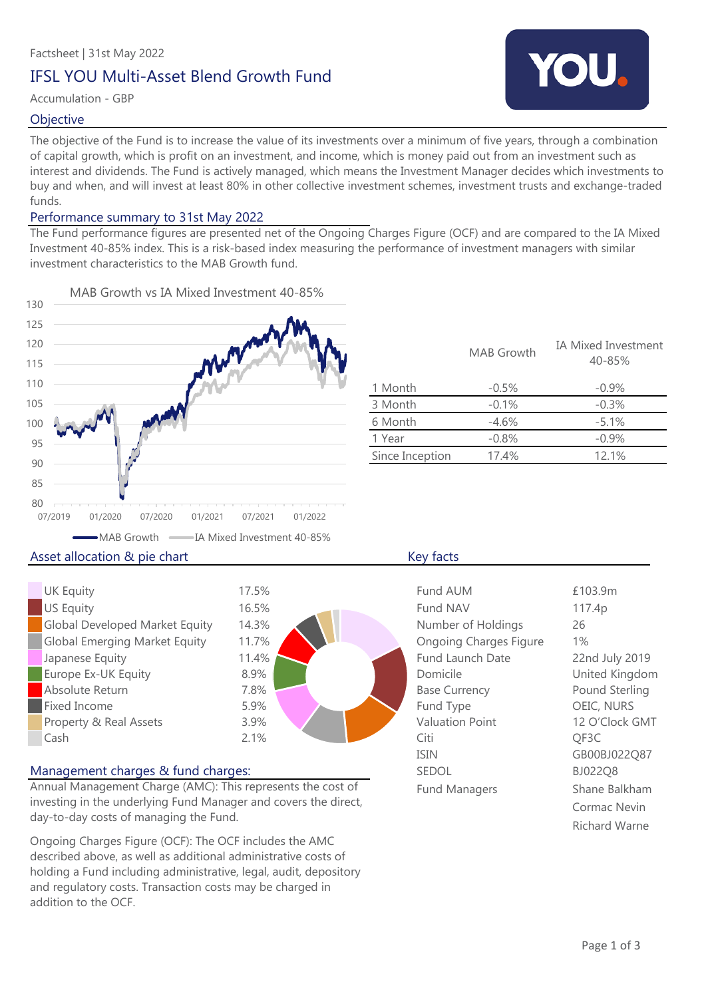## IFSL YOU Multi-Asset Blend Growth Fund

### Accumulation - GBP

### **Objective**

The objective of the Fund is to increase the value of its investments over a minimum of five years, through a combination of capital growth, which is profit on an investment, and income, which is money paid out from an investment such as interest and dividends. The Fund is actively managed, which means the Investment Manager decides which investments to buy and when, and will invest at least 80% in other collective investment schemes, investment trusts and exchange-traded funds.

### Performance summary to 31st May 2022

The Fund performance figures are presented net of the Ongoing Charges Figure (OCF) and are compared to the IA Mixed Investment 40-85% index. This is a risk-based index measuring the performance of investment managers with similar investment characteristics to the MAB Growth fund.



|                 | <b>MAB</b> Growth | IA Mixed Investment<br>40-85% |
|-----------------|-------------------|-------------------------------|
| 1 Month         | $-0.5%$           | $-0.9%$                       |
| 3 Month         | $-0.1%$           | $-0.3%$                       |
| 6 Month         | $-4.6%$           | $-5.1%$                       |
| 1 Year          | $-0.8%$           | $-0.9%$                       |
| Since Inception | 17.4%             | 12.1%                         |
|                 |                   |                               |

### UK Equity US Equity Global Developed Market Equity  $\Box$ Global Emerging Market Equity Japanese Equity Europe Ex-UK Equity Absolute Return Fixed Income Property & Real Assets Cash Citi 2.1% 7.8% 5.9% 3.9% 8.9% 16.5% 14.3% 11.7% 11.4% 17.5%

### Management charges & fund charges:

Annual Management Charge (AMC): This represents the cost of investing in the underlying Fund Manager and covers the direct, day-to-day costs of managing the Fund.

Ongoing Charges Figure (OCF): The OCF includes the AMC described above, as well as additional administrative costs of holding a Fund including administrative, legal, audit, depository and regulatory costs. Transaction costs may be charged in addition to the OCF.

| <b>Fund AUM</b>               | £103.9m        |
|-------------------------------|----------------|
| Fund NAV                      | 117.4p         |
| Number of Holdings            | 26             |
| <b>Ongoing Charges Figure</b> | $1\%$          |
| <b>Fund Launch Date</b>       | 22nd July 2019 |
| Domicile                      | United Kingdom |
| <b>Base Currency</b>          | Pound Sterling |
| Fund Type                     | OEIC, NURS     |
| <b>Valuation Point</b>        | 12 O'Clock GMT |
| Citi                          | QF3C           |
| <b>ISIN</b>                   | GB00BJ022Q87   |
| <b>SEDOL</b>                  | BJ022Q8        |
| <b>Fund Managers</b>          | Shane Balkham  |
|                               | Cormac Nevin   |
|                               | Richard Warne  |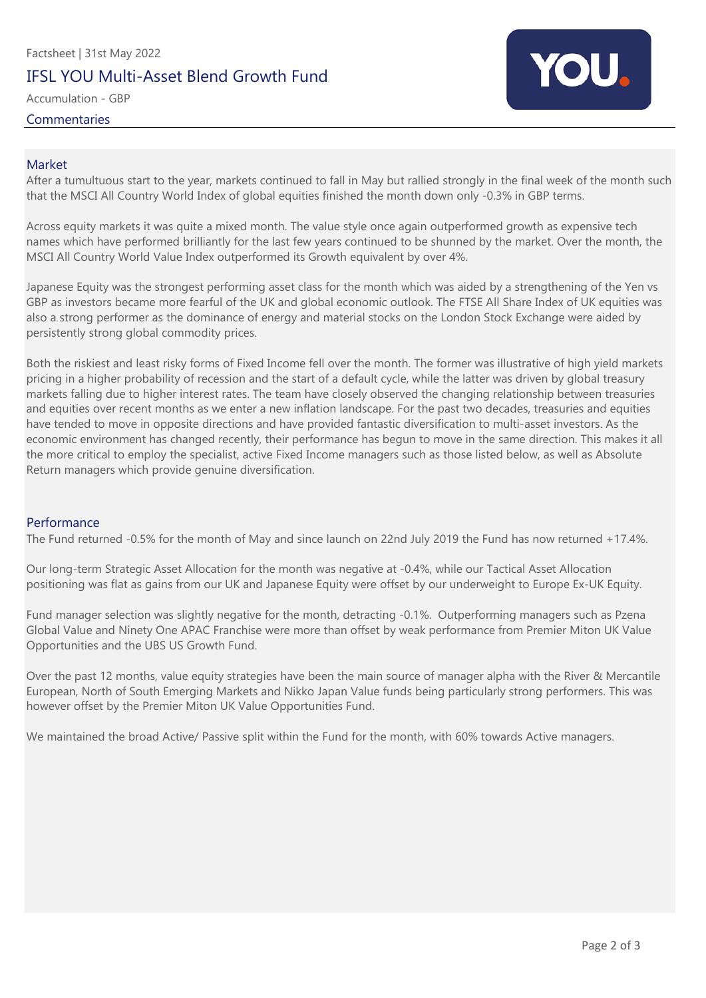# Factsheet | 31st May 2022 IFSL YOU Multi-Asset Blend Growth Fund

Accumulation - GBP

**Commentaries** 



### Market

After a tumultuous start to the year, markets continued to fall in May but rallied strongly in the final week of the month such that the MSCI All Country World Index of global equities finished the month down only -0.3% in GBP terms.

Across equity markets it was quite a mixed month. The value style once again outperformed growth as expensive tech names which have performed brilliantly for the last few years continued to be shunned by the market. Over the month, the MSCI All Country World Value Index outperformed its Growth equivalent by over 4%.

Japanese Equity was the strongest performing asset class for the month which was aided by a strengthening of the Yen vs GBP as investors became more fearful of the UK and global economic outlook. The FTSE All Share Index of UK equities was also a strong performer as the dominance of energy and material stocks on the London Stock Exchange were aided by persistently strong global commodity prices.

Both the riskiest and least risky forms of Fixed Income fell over the month. The former was illustrative of high yield markets pricing in a higher probability of recession and the start of a default cycle, while the latter was driven by global treasury markets falling due to higher interest rates. The team have closely observed the changing relationship between treasuries and equities over recent months as we enter a new inflation landscape. For the past two decades, treasuries and equities have tended to move in opposite directions and have provided fantastic diversification to multi-asset investors. As the economic environment has changed recently, their performance has begun to move in the same direction. This makes it all the more critical to employ the specialist, active Fixed Income managers such as those listed below, as well as Absolute Return managers which provide genuine diversification.

### Performance

The Fund returned -0.5% for the month of May and since launch on 22nd July 2019 the Fund has now returned +17.4%.

Our long-term Strategic Asset Allocation for the month was negative at -0.4%, while our Tactical Asset Allocation positioning was flat as gains from our UK and Japanese Equity were offset by our underweight to Europe Ex-UK Equity.

Fund manager selection was slightly negative for the month, detracting -0.1%. Outperforming managers such as Pzena Global Value and Ninety One APAC Franchise were more than offset by weak performance from Premier Miton UK Value Opportunities and the UBS US Growth Fund.

Over the past 12 months, value equity strategies have been the main source of manager alpha with the River & Mercantile European, North of South Emerging Markets and Nikko Japan Value funds being particularly strong performers. This was however offset by the Premier Miton UK Value Opportunities Fund.

We maintained the broad Active/ Passive split within the Fund for the month, with 60% towards Active managers.